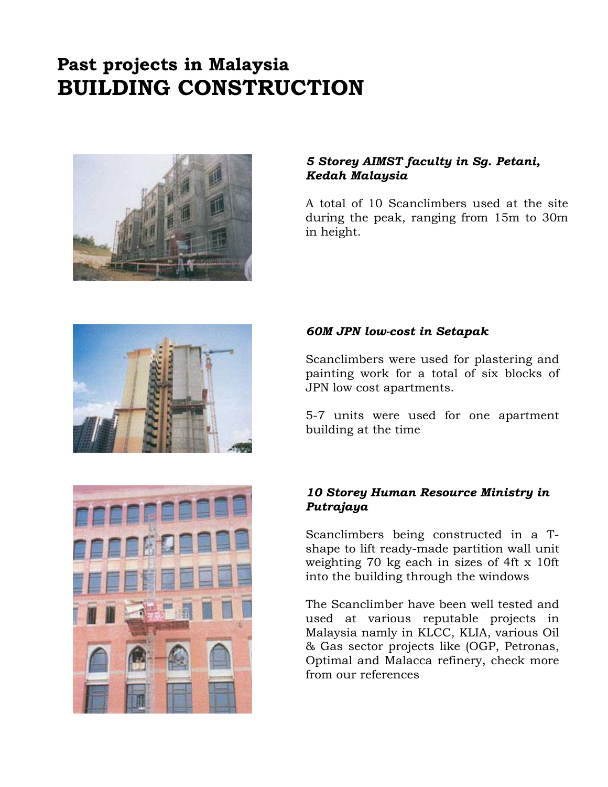# **Past projects in Malaysia BUILDING CONSTRUCTION**



#### *5 Storey AIMST faculty in Sg. Petani, Kedah Malaysia*

A total of 10 Scanclimbers used at the site during the peak, ranging from 15m to 30m in height.



### *60M JPN low-cost in Setapak*

Scanclimbers were used for plastering and painting work for a total of six blocks of JPN low cost apartments.

5-7 units were used for one apartment building at the time

### *10 Storey Human Resource Ministry in Putrajaya*

Scanclimbers being constructed in a Tshape to lift ready-made partition wall unit weighting 70 kg each in sizes of 4ft x 10ft into the building through the windows

The Scanclimber have been well tested and used at various reputable projects in Malaysia namly in KLCC, KLIA, various Oil & Gas sector projects like (OGP, Petronas, Optimal and Malacca refinery, check more from our references

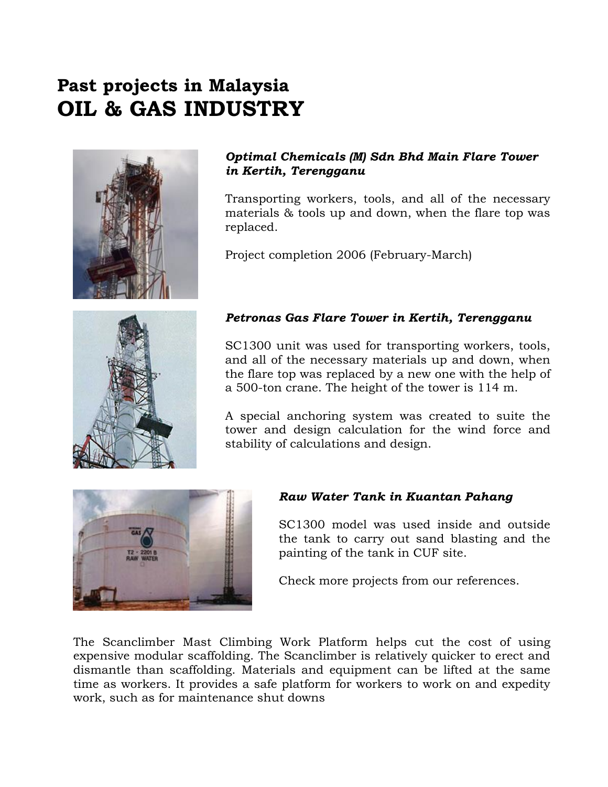# **Past projects in Malaysia OIL & GAS INDUSTRY**



### *Optimal Chemicals (M) Sdn Bhd Main Flare Tower in Kertih, Terengganu*

Transporting workers, tools, and all of the necessary materials & tools up and down, when the flare top was replaced.

Project completion 2006 (February-March)



### *Petronas Gas Flare Tower in Kertih, Terengganu*

SC1300 unit was used for transporting workers, tools, and all of the necessary materials up and down, when the flare top was replaced by a new one with the help of a 500-ton crane. The height of the tower is 114 m.

A special anchoring system was created to suite the tower and design calculation for the wind force and stability of calculations and design.



### *Raw Water Tank in Kuantan Pahang*

SC1300 model was used inside and outside the tank to carry out sand blasting and the painting of the tank in CUF site.

Check more projects from our references.

The Scanclimber Mast Climbing Work Platform helps cut the cost of using expensive modular scaffolding. The Scanclimber is relatively quicker to erect and dismantle than scaffolding. Materials and equipment can be lifted at the same time as workers. It provides a safe platform for workers to work on and expedity work, such as for maintenance shut downs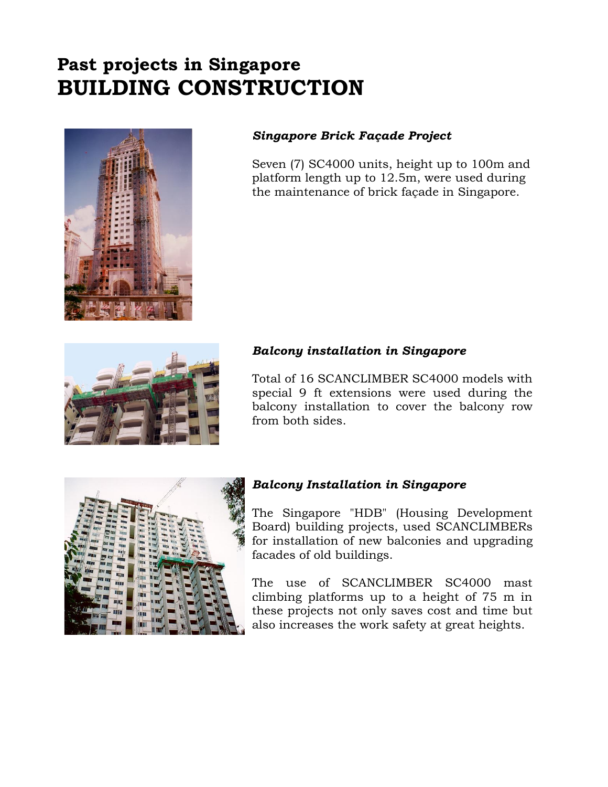# **Past projects in Singapore BUILDING CONSTRUCTION**



### *Singapore Brick Façade Project*

Seven (7) SC4000 units, height up to 100m and platform length up to 12.5m, were used during the maintenance of brick façade in Singapore.



#### *Balcony installation in Singapore*

Total of 16 SCANCLIMBER SC4000 models with special 9 ft extensions were used during the balcony installation to cover the balcony row from both sides.



#### *Balcony Installation in Singapore*

The Singapore "HDB" (Housing Development Board) building projects, used SCANCLIMBERs for installation of new balconies and upgrading facades of old buildings.

The use of SCANCLIMBER SC4000 mast climbing platforms up to a height of 75 m in these projects not only saves cost and time but also increases the work safety at great heights.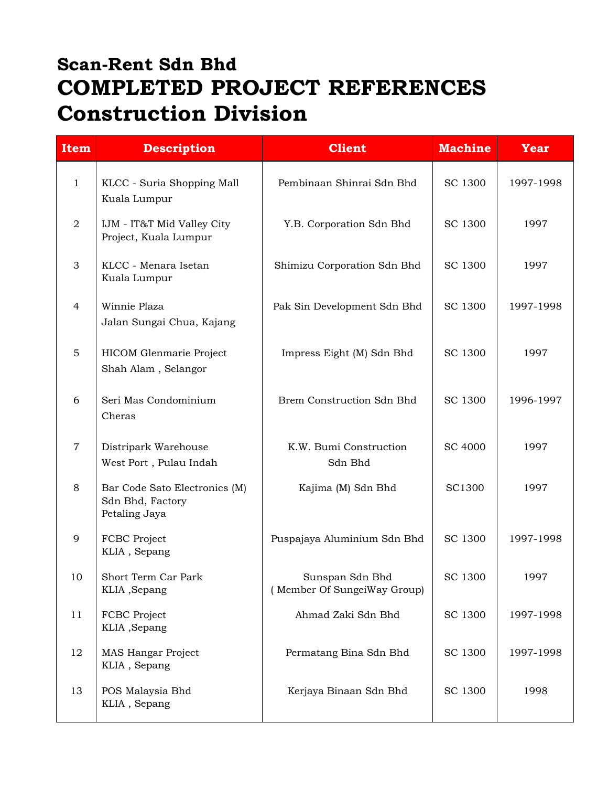# **Scan-Rent Sdn Bhd COMPLETED PROJECT REFERENCES Construction Division**

| <b>Item</b>    | <b>Description</b>                                                 | <b>Client</b>                                  | <b>Machine</b> | <b>Year</b> |
|----------------|--------------------------------------------------------------------|------------------------------------------------|----------------|-------------|
| $\mathbf{1}$   | KLCC - Suria Shopping Mall<br>Kuala Lumpur                         | Pembinaan Shinrai Sdn Bhd                      | SC 1300        | 1997-1998   |
| $\overline{a}$ | IJM - IT&T Mid Valley City<br>Project, Kuala Lumpur                | Y.B. Corporation Sdn Bhd                       | SC 1300        | 1997        |
| 3              | KLCC - Menara Isetan<br>Kuala Lumpur                               | Shimizu Corporation Sdn Bhd                    | SC 1300        | 1997        |
| 4              | Winnie Plaza<br>Jalan Sungai Chua, Kajang                          | Pak Sin Development Sdn Bhd                    | SC 1300        | 1997-1998   |
| 5              | HICOM Glenmarie Project<br>Shah Alam, Selangor                     | Impress Eight (M) Sdn Bhd                      | SC 1300        | 1997        |
| 6              | Seri Mas Condominium<br>Cheras                                     | Brem Construction Sdn Bhd                      | SC 1300        | 1996-1997   |
| $\overline{7}$ | Distripark Warehouse<br>West Port, Pulau Indah                     | K.W. Bumi Construction<br>Sdn Bhd              | <b>SC 4000</b> | 1997        |
| 8              | Bar Code Sato Electronics (M)<br>Sdn Bhd, Factory<br>Petaling Jaya | Kajima (M) Sdn Bhd                             | <b>SC1300</b>  | 1997        |
| 9              | FCBC Project<br>KLIA, Sepang                                       | Puspajaya Aluminium Sdn Bhd                    | SC 1300        | 1997-1998   |
| 10             | Short Term Car Park<br>KLIA, Sepang                                | Sunspan Sdn Bhd<br>(Member Of SungeiWay Group) | SC 1300        | 1997        |
| 11             | FCBC Project<br>KLIA, Sepang                                       | Ahmad Zaki Sdn Bhd                             | <b>SC 1300</b> | 1997-1998   |
| 12             | MAS Hangar Project<br>KLIA, Sepang                                 | Permatang Bina Sdn Bhd                         | <b>SC 1300</b> | 1997-1998   |
| 13             | POS Malaysia Bhd<br>KLIA, Sepang                                   | Kerjaya Binaan Sdn Bhd                         | SC 1300        | 1998        |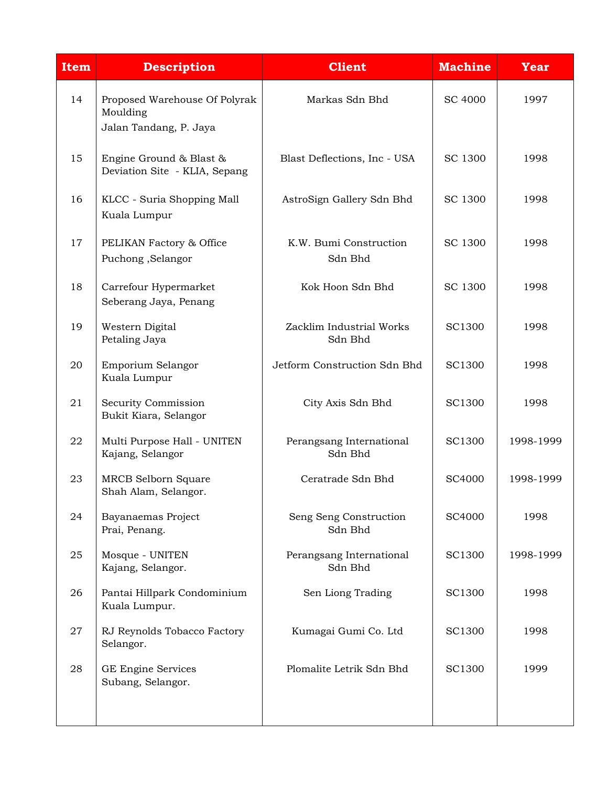| <b>Item</b> | <b>Description</b>                                                  | <b>Client</b>                       | <b>Machine</b> | <b>Year</b> |
|-------------|---------------------------------------------------------------------|-------------------------------------|----------------|-------------|
| 14          | Proposed Warehouse Of Polyrak<br>Moulding<br>Jalan Tandang, P. Jaya | Markas Sdn Bhd                      | SC 4000        | 1997        |
| 15          | Engine Ground & Blast &<br>Deviation Site - KLIA, Sepang            | Blast Deflections, Inc - USA        | SC 1300        | 1998        |
| 16          | KLCC - Suria Shopping Mall<br>Kuala Lumpur                          | AstroSign Gallery Sdn Bhd           | SC 1300        | 1998        |
| 17          | PELIKAN Factory & Office<br>Puchong, Selangor                       | K.W. Bumi Construction<br>Sdn Bhd   | SC 1300        | 1998        |
| 18          | Carrefour Hypermarket<br>Seberang Jaya, Penang                      | Kok Hoon Sdn Bhd                    | SC 1300        | 1998        |
| 19          | Western Digital<br>Petaling Jaya                                    | Zacklim Industrial Works<br>Sdn Bhd | <b>SC1300</b>  | 1998        |
| 20          | Emporium Selangor<br>Kuala Lumpur                                   | Jetform Construction Sdn Bhd        | <b>SC1300</b>  | 1998        |
| 21          | Security Commission<br>Bukit Kiara, Selangor                        | City Axis Sdn Bhd                   | <b>SC1300</b>  | 1998        |
| 22          | Multi Purpose Hall - UNITEN<br>Kajang, Selangor                     | Perangsang International<br>Sdn Bhd | SC1300         | 1998-1999   |
| 23          | <b>MRCB Selborn Square</b><br>Shah Alam, Selangor.                  | Ceratrade Sdn Bhd                   | SC4000         | 1998-1999   |
| 24          | Bayanaemas Project<br>Prai, Penang.                                 | Seng Seng Construction<br>Sdn Bhd   | SC4000         | 1998        |
| 25          | Mosque - UNITEN<br>Kajang, Selangor.                                | Perangsang International<br>Sdn Bhd | <b>SC1300</b>  | 1998-1999   |
| 26          | Pantai Hillpark Condominium<br>Kuala Lumpur.                        | Sen Liong Trading                   | <b>SC1300</b>  | 1998        |
| 27          | RJ Reynolds Tobacco Factory<br>Selangor.                            | Kumagai Gumi Co. Ltd                | <b>SC1300</b>  | 1998        |
| 28          | GE Engine Services<br>Subang, Selangor.                             | Plomalite Letrik Sdn Bhd            | <b>SC1300</b>  | 1999        |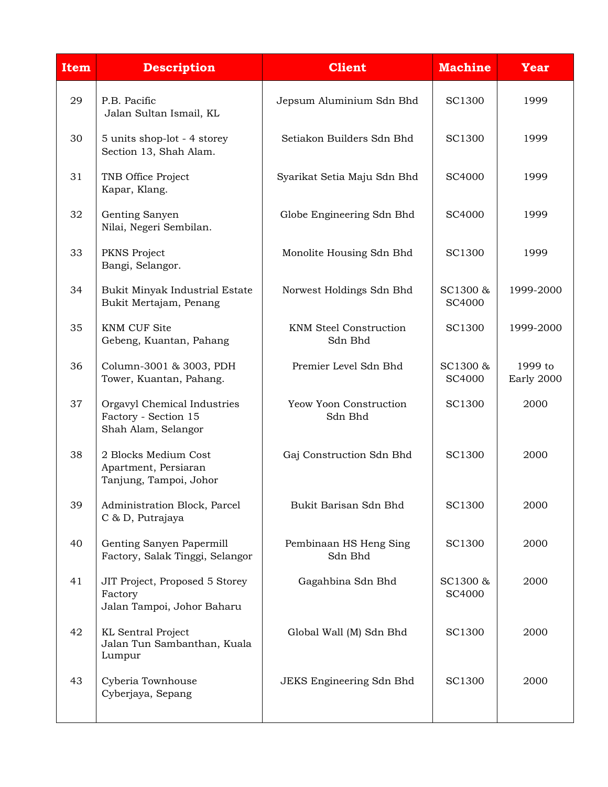| <b>Item</b> | <b>Description</b>                                                         | <b>Client</b>                            | <b>Machine</b>     | <b>Year</b>           |
|-------------|----------------------------------------------------------------------------|------------------------------------------|--------------------|-----------------------|
| 29          | P.B. Pacific<br>Jalan Sultan Ismail, KL                                    | Jepsum Aluminium Sdn Bhd                 | <b>SC1300</b>      | 1999                  |
| 30          | 5 units shop-lot - 4 storey<br>Section 13, Shah Alam.                      | Setiakon Builders Sdn Bhd                | SC1300             | 1999                  |
| 31          | TNB Office Project<br>Kapar, Klang.                                        | Syarikat Setia Maju Sdn Bhd              | <b>SC4000</b>      | 1999                  |
| 32          | Genting Sanyen<br>Nilai, Negeri Sembilan.                                  | Globe Engineering Sdn Bhd                | SC4000             | 1999                  |
| 33          | PKNS Project<br>Bangi, Selangor.                                           | Monolite Housing Sdn Bhd                 | SC1300             | 1999                  |
| 34          | Bukit Minyak Industrial Estate<br>Bukit Mertajam, Penang                   | Norwest Holdings Sdn Bhd                 | SC1300 &<br>SC4000 | 1999-2000             |
| 35          | <b>KNM CUF Site</b><br>Gebeng, Kuantan, Pahang                             | <b>KNM Steel Construction</b><br>Sdn Bhd | <b>SC1300</b>      | 1999-2000             |
| 36          | Column-3001 & 3003, PDH<br>Tower, Kuantan, Pahang.                         | Premier Level Sdn Bhd                    | SC1300 &<br>SC4000 | 1999 to<br>Early 2000 |
| 37          | Orgavyl Chemical Industries<br>Factory - Section 15<br>Shah Alam, Selangor | Yeow Yoon Construction<br>Sdn Bhd        | SC1300             | 2000                  |
| 38          | 2 Blocks Medium Cost<br>Apartment, Persiaran<br>Tanjung, Tampoi, Johor     | Gaj Construction Sdn Bhd                 | SC1300             | 2000                  |
| 39          | Administration Block, Parcel<br>C & D, Putrajaya                           | Bukit Barisan Sdn Bhd                    | <b>SC1300</b>      | 2000                  |
| 40          | Genting Sanyen Papermill<br>Factory, Salak Tinggi, Selangor                | Pembinaan HS Heng Sing<br>Sdn Bhd        | SC1300             | 2000                  |
| 41          | JIT Project, Proposed 5 Storey<br>Factory<br>Jalan Tampoi, Johor Baharu    | Gagahbina Sdn Bhd                        | SC1300 &<br>SC4000 | 2000                  |
| 42          | <b>KL</b> Sentral Project<br>Jalan Tun Sambanthan, Kuala<br>Lumpur         | Global Wall (M) Sdn Bhd                  | SC1300             | 2000                  |
| 43          | Cyberia Townhouse<br>Cyberjaya, Sepang                                     | JEKS Engineering Sdn Bhd                 | SC1300             | 2000                  |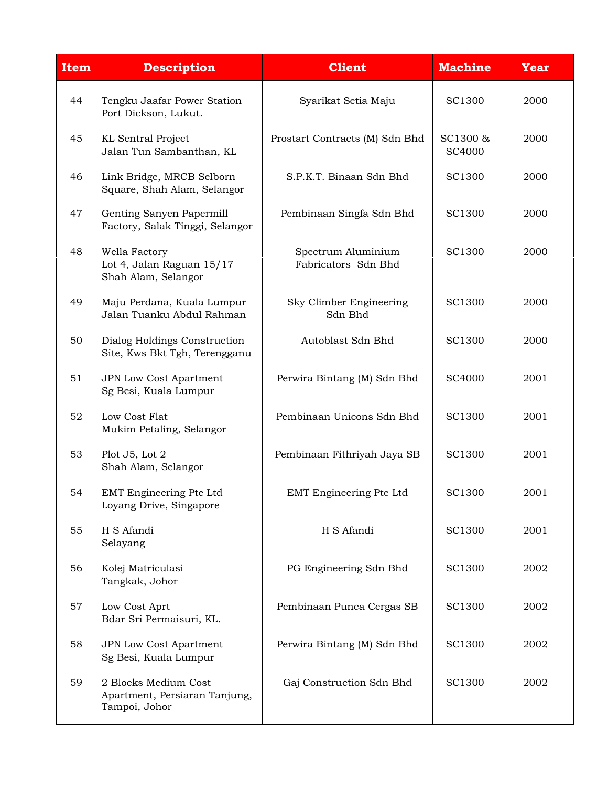| <b>Item</b> | <b>Description</b>                                                     | <b>Client</b>                             | <b>Machine</b>     | <b>Year</b> |
|-------------|------------------------------------------------------------------------|-------------------------------------------|--------------------|-------------|
| 44          | Tengku Jaafar Power Station<br>Port Dickson, Lukut.                    | Syarikat Setia Maju                       | <b>SC1300</b>      | 2000        |
| 45          | <b>KL</b> Sentral Project<br>Jalan Tun Sambanthan, KL                  | Prostart Contracts (M) Sdn Bhd            | SC1300 &<br>SC4000 | 2000        |
| 46          | Link Bridge, MRCB Selborn<br>Square, Shah Alam, Selangor               | S.P.K.T. Binaan Sdn Bhd                   | SC1300             | 2000        |
| 47          | Genting Sanyen Papermill<br>Factory, Salak Tinggi, Selangor            | Pembinaan Singfa Sdn Bhd                  | SC1300             | 2000        |
| 48          | Wella Factory<br>Lot 4, Jalan Raguan 15/17<br>Shah Alam, Selangor      | Spectrum Aluminium<br>Fabricators Sdn Bhd | <b>SC1300</b>      | 2000        |
| 49          | Maju Perdana, Kuala Lumpur<br>Jalan Tuanku Abdul Rahman                | Sky Climber Engineering<br>Sdn Bhd        | <b>SC1300</b>      | 2000        |
| 50          | Dialog Holdings Construction<br>Site, Kws Bkt Tgh, Terengganu          | Autoblast Sdn Bhd                         | <b>SC1300</b>      | 2000        |
| 51          | <b>JPN Low Cost Apartment</b><br>Sg Besi, Kuala Lumpur                 | Perwira Bintang (M) Sdn Bhd               | SC4000             | 2001        |
| 52          | Low Cost Flat<br>Mukim Petaling, Selangor                              | Pembinaan Unicons Sdn Bhd                 | SC1300             | 2001        |
| 53          | Plot J5, Lot 2<br>Shah Alam, Selangor                                  | Pembinaan Fithriyah Jaya SB               | SC1300             | 2001        |
| 54          | EMT Engineering Pte Ltd<br>Loyang Drive, Singapore                     | EMT Engineering Pte Ltd                   | SC1300             | 2001        |
| 55          | H S Afandi<br>Selayang                                                 | H S Afandi                                | <b>SC1300</b>      | 2001        |
| 56          | Kolej Matriculasi<br>Tangkak, Johor                                    | PG Engineering Sdn Bhd                    | <b>SC1300</b>      | 2002        |
| 57          | Low Cost Aprt<br>Bdar Sri Permaisuri, KL.                              | Pembinaan Punca Cergas SB                 | SC1300             | 2002        |
| 58          | JPN Low Cost Apartment<br>Sg Besi, Kuala Lumpur                        | Perwira Bintang (M) Sdn Bhd               | SC1300             | 2002        |
| 59          | 2 Blocks Medium Cost<br>Apartment, Persiaran Tanjung,<br>Tampoi, Johor | Gaj Construction Sdn Bhd                  | SC1300             | 2002        |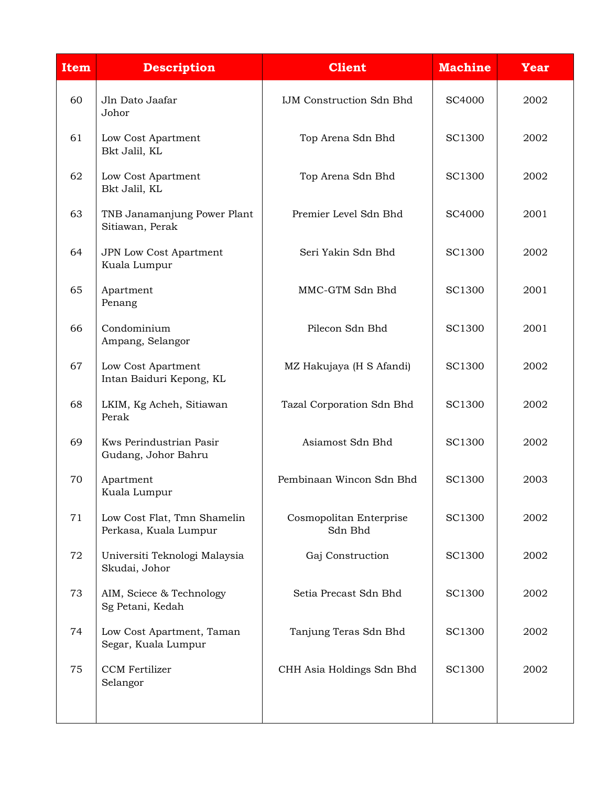| <b>Description</b>                                   | <b>Client</b>                      | <b>Machine</b> | <b>Year</b> |
|------------------------------------------------------|------------------------------------|----------------|-------------|
| Jln Dato Jaafar<br>Johor                             | <b>IJM Construction Sdn Bhd</b>    | SC4000         | 2002        |
| Low Cost Apartment<br>Bkt Jalil, KL                  | Top Arena Sdn Bhd                  | SC1300         | 2002        |
| Low Cost Apartment<br>Bkt Jalil, KL                  | Top Arena Sdn Bhd                  | SC1300         | 2002        |
| TNB Janamanjung Power Plant<br>Sitiawan, Perak       | Premier Level Sdn Bhd              | SC4000         | 2001        |
| JPN Low Cost Apartment<br>Kuala Lumpur               | Seri Yakin Sdn Bhd                 | <b>SC1300</b>  | 2002        |
| Apartment<br>Penang                                  | MMC-GTM Sdn Bhd                    | <b>SC1300</b>  | 2001        |
| Condominium<br>Ampang, Selangor                      | Pilecon Sdn Bhd                    | <b>SC1300</b>  | 2001        |
| Low Cost Apartment<br>Intan Baiduri Kepong, KL       | MZ Hakujaya (H S Afandi)           | SC1300         | 2002        |
| LKIM, Kg Acheh, Sitiawan<br>Perak                    | Tazal Corporation Sdn Bhd          | SC1300         | 2002        |
| Kws Perindustrian Pasir<br>Gudang, Johor Bahru       | Asiamost Sdn Bhd                   | <b>SC1300</b>  | 2002        |
| Apartment<br>Kuala Lumpur                            | Pembinaan Wincon Sdn Bhd           | <b>SC1300</b>  | 2003        |
| Low Cost Flat, Tmn Shamelin<br>Perkasa, Kuala Lumpur | Cosmopolitan Enterprise<br>Sdn Bhd | SC1300         | 2002        |
| Universiti Teknologi Malaysia<br>Skudai, Johor       | Gaj Construction                   | <b>SC1300</b>  | 2002        |
| AIM, Sciece & Technology<br>Sg Petani, Kedah         | Setia Precast Sdn Bhd              | <b>SC1300</b>  | 2002        |
| Low Cost Apartment, Taman<br>Segar, Kuala Lumpur     | Tanjung Teras Sdn Bhd              | SC1300         | 2002        |
| <b>CCM</b> Fertilizer<br>Selangor                    | CHH Asia Holdings Sdn Bhd          | <b>SC1300</b>  | 2002        |
|                                                      |                                    |                |             |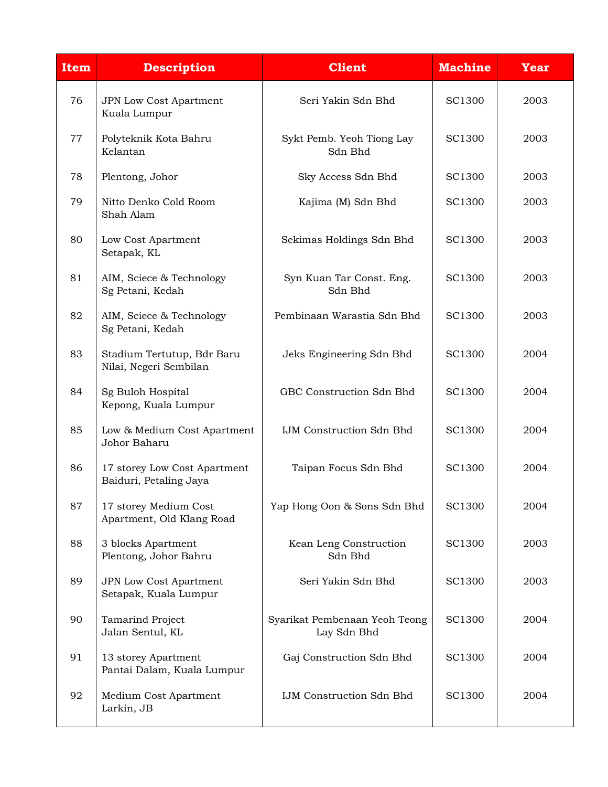| <b>Item</b> | <b>Description</b>                                     | <b>Client</b>                                | <b>Machine</b> | <b>Year</b> |
|-------------|--------------------------------------------------------|----------------------------------------------|----------------|-------------|
| 76          | JPN Low Cost Apartment<br>Kuala Lumpur                 | Seri Yakin Sdn Bhd                           | <b>SC1300</b>  | 2003        |
| 77          | Polyteknik Kota Bahru<br>Kelantan                      | Sykt Pemb. Yeoh Tiong Lay<br>Sdn Bhd         | <b>SC1300</b>  | 2003        |
| 78          | Plentong, Johor                                        | Sky Access Sdn Bhd                           | SC1300         | 2003        |
| 79          | Nitto Denko Cold Room<br>Shah Alam                     | Kajima (M) Sdn Bhd                           | SC1300         | 2003        |
| 80          | Low Cost Apartment<br>Setapak, KL                      | Sekimas Holdings Sdn Bhd                     | SC1300         | 2003        |
| 81          | AIM, Sciece & Technology<br>Sg Petani, Kedah           | Syn Kuan Tar Const. Eng.<br>Sdn Bhd          | SC1300         | 2003        |
| 82          | AIM, Sciece & Technology<br>Sg Petani, Kedah           | Pembinaan Warastia Sdn Bhd                   | <b>SC1300</b>  | 2003        |
| 83          | Stadium Tertutup, Bdr Baru<br>Nilai, Negeri Sembilan   | Jeks Engineering Sdn Bhd                     | <b>SC1300</b>  | 2004        |
| 84          | Sg Buloh Hospital<br>Kepong, Kuala Lumpur              | GBC Construction Sdn Bhd                     | <b>SC1300</b>  | 2004        |
| 85          | Low & Medium Cost Apartment<br>Johor Baharu            | <b>IJM Construction Sdn Bhd</b>              | SC1300         | 2004        |
| 86          | 17 storey Low Cost Apartment<br>Baiduri, Petaling Jaya | Taipan Focus Sdn Bhd                         | SC1300         | 2004        |
| 87          | 17 storey Medium Cost<br>Apartment, Old Klang Road     | Yap Hong Oon & Sons Sdn Bhd                  | <b>SC1300</b>  | 2004        |
| 88          | 3 blocks Apartment<br>Plentong, Johor Bahru            | Kean Leng Construction<br>Sdn Bhd            | SC1300         | 2003        |
| 89          | JPN Low Cost Apartment<br>Setapak, Kuala Lumpur        | Seri Yakin Sdn Bhd                           | <b>SC1300</b>  | 2003        |
| 90          | Tamarind Project<br>Jalan Sentul, KL                   | Syarikat Pembenaan Yeoh Teong<br>Lay Sdn Bhd | <b>SC1300</b>  | 2004        |
| 91          | 13 storey Apartment<br>Pantai Dalam, Kuala Lumpur      | Gaj Construction Sdn Bhd                     | SC1300         | 2004        |
| 92          | Medium Cost Apartment<br>Larkin, JB                    | <b>IJM Construction Sdn Bhd</b>              | <b>SC1300</b>  | 2004        |
|             |                                                        |                                              |                |             |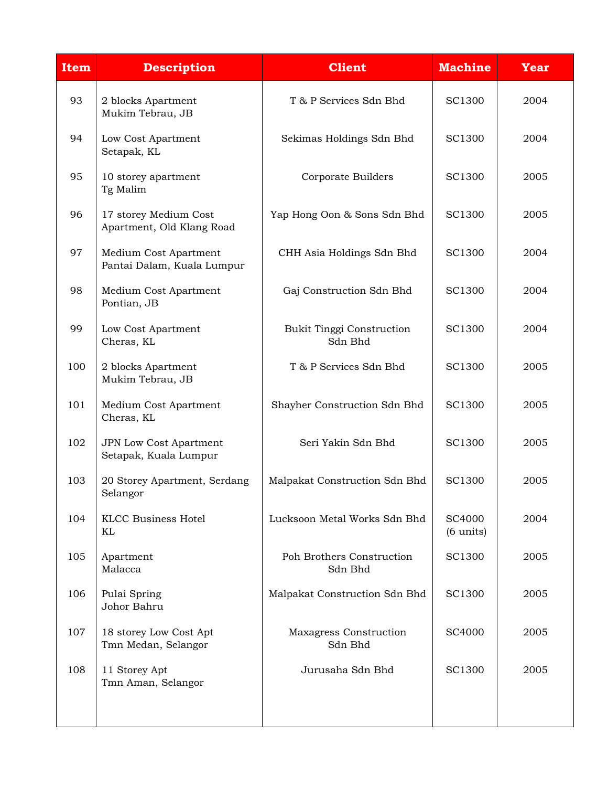| <b>Item</b> | <b>Description</b>                                  | <b>Client</b>                               | <b>Machine</b>                | <b>Year</b> |
|-------------|-----------------------------------------------------|---------------------------------------------|-------------------------------|-------------|
| 93          | 2 blocks Apartment<br>Mukim Tebrau, JB              | T & P Services Sdn Bhd                      | <b>SC1300</b>                 | 2004        |
| 94          | Low Cost Apartment<br>Setapak, KL                   | Sekimas Holdings Sdn Bhd                    | SC1300                        | 2004        |
| 95          | 10 storey apartment<br>Tg Malim                     | Corporate Builders                          | <b>SC1300</b>                 | 2005        |
| 96          | 17 storey Medium Cost<br>Apartment, Old Klang Road  | Yap Hong Oon & Sons Sdn Bhd                 | SC1300                        | 2005        |
| 97          | Medium Cost Apartment<br>Pantai Dalam, Kuala Lumpur | CHH Asia Holdings Sdn Bhd                   | SC1300                        | 2004        |
| 98          | Medium Cost Apartment<br>Pontian, JB                | Gaj Construction Sdn Bhd                    | <b>SC1300</b>                 | 2004        |
| 99          | Low Cost Apartment<br>Cheras, KL                    | <b>Bukit Tinggi Construction</b><br>Sdn Bhd | SC1300                        | 2004        |
| 100         | 2 blocks Apartment<br>Mukim Tebrau, JB              | T & P Services Sdn Bhd                      | <b>SC1300</b>                 | 2005        |
| 101         | Medium Cost Apartment<br>Cheras, KL                 | Shayher Construction Sdn Bhd                | SC1300                        | 2005        |
| 102         | JPN Low Cost Apartment<br>Setapak, Kuala Lumpur     | Seri Yakin Sdn Bhd                          | <b>SC1300</b>                 | 2005        |
| 103         | 20 Storey Apartment, Serdang<br>Selangor            | Malpakat Construction Sdn Bhd               | <b>SC1300</b>                 | 2005        |
| 104         | <b>KLCC Business Hotel</b><br>KL                    | Lucksoon Metal Works Sdn Bhd                | SC4000<br>$(6 \text{ units})$ | 2004        |
| 105         | Apartment<br>Malacca                                | Poh Brothers Construction<br>Sdn Bhd        | <b>SC1300</b>                 | 2005        |
| 106         | Pulai Spring<br>Johor Bahru                         | Malpakat Construction Sdn Bhd               | <b>SC1300</b>                 | 2005        |
| 107         | 18 storey Low Cost Apt<br>Tmn Medan, Selangor       | Maxagress Construction<br>Sdn Bhd           | SC4000                        | 2005        |
| 108         | 11 Storey Apt<br>Tmn Aman, Selangor                 | Jurusaha Sdn Bhd                            | <b>SC1300</b>                 | 2005        |
|             |                                                     |                                             |                               |             |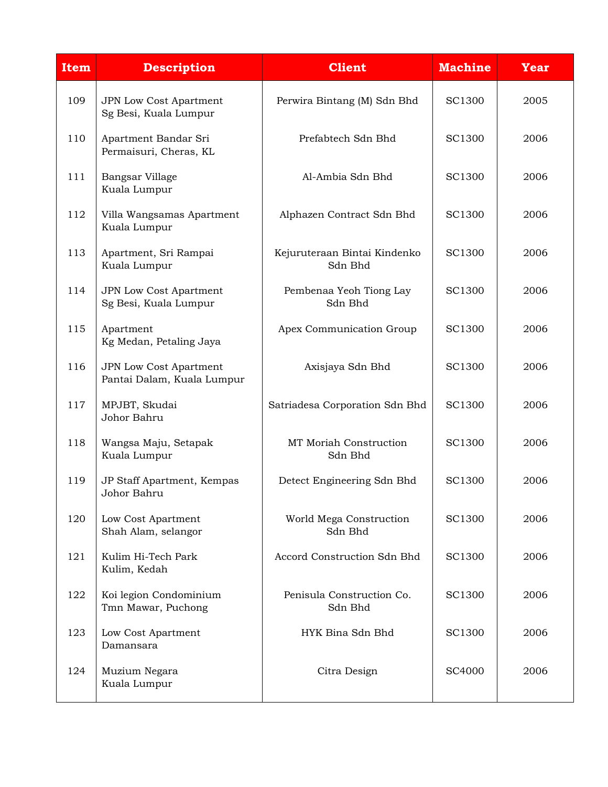| <b>Item</b> | <b>Description</b>                                          | <b>Client</b>                           | <b>Machine</b> | <b>Year</b> |
|-------------|-------------------------------------------------------------|-----------------------------------------|----------------|-------------|
| 109         | JPN Low Cost Apartment<br>Sg Besi, Kuala Lumpur             | Perwira Bintang (M) Sdn Bhd             | SC1300         | 2005        |
| 110         | Apartment Bandar Sri<br>Permaisuri, Cheras, KL              | Prefabtech Sdn Bhd                      | <b>SC1300</b>  | 2006        |
| 111         | Bangsar Village<br>Kuala Lumpur                             | Al-Ambia Sdn Bhd                        | SC1300         | 2006        |
| 112         | Villa Wangsamas Apartment<br>Kuala Lumpur                   | Alphazen Contract Sdn Bhd               | SC1300         | 2006        |
| 113         | Apartment, Sri Rampai<br>Kuala Lumpur                       | Kejuruteraan Bintai Kindenko<br>Sdn Bhd | SC1300         | 2006        |
| 114         | <b>JPN Low Cost Apartment</b><br>Sg Besi, Kuala Lumpur      | Pembenaa Yeoh Tiong Lay<br>Sdn Bhd      | <b>SC1300</b>  | 2006        |
| 115         | Apartment<br>Kg Medan, Petaling Jaya                        | Apex Communication Group                | SC1300         | 2006        |
| 116         | <b>JPN Low Cost Apartment</b><br>Pantai Dalam, Kuala Lumpur | Axisjaya Sdn Bhd                        | <b>SC1300</b>  | 2006        |
| 117         | MPJBT, Skudai<br>Johor Bahru                                | Satriadesa Corporation Sdn Bhd          | SC1300         | 2006        |
| 118         | Wangsa Maju, Setapak<br>Kuala Lumpur                        | MT Moriah Construction<br>Sdn Bhd       | SC1300         | 2006        |
| 119         | JP Staff Apartment, Kempas<br>Johor Bahru                   | Detect Engineering Sdn Bhd              | SC1300         | 2006        |
| 120         | Low Cost Apartment<br>Shah Alam, selangor                   | World Mega Construction<br>Sdn Bhd      | SC1300         | 2006        |
| 121         | Kulim Hi-Tech Park<br>Kulim, Kedah                          | Accord Construction Sdn Bhd             | SC1300         | 2006        |
| 122         | Koi legion Condominium<br>Tmn Mawar, Puchong                | Penisula Construction Co.<br>Sdn Bhd    | SC1300         | 2006        |
| 123         | Low Cost Apartment<br>Damansara                             | HYK Bina Sdn Bhd                        | SC1300         | 2006        |
| 124         | Muzium Negara<br>Kuala Lumpur                               | Citra Design                            | SC4000         | 2006        |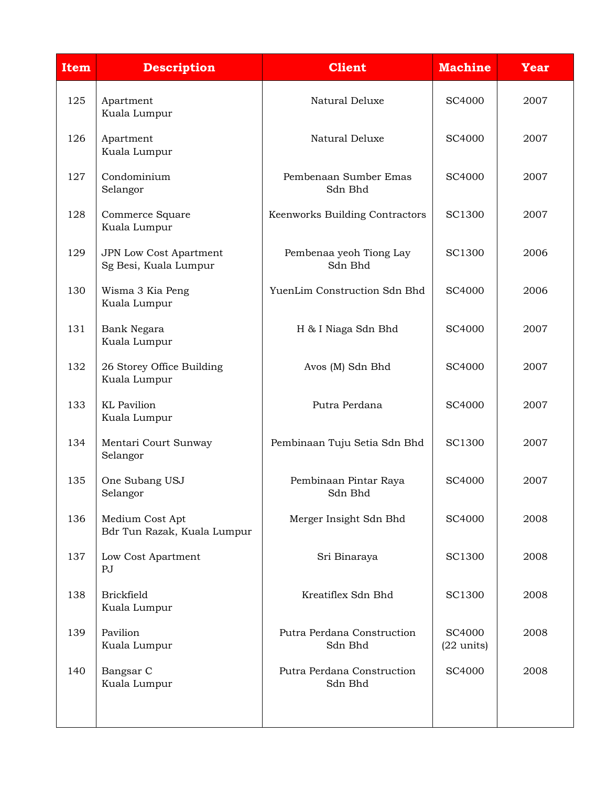| Item | <b>Description</b>                              | <b>Client</b>                         | <b>Machine</b>                 | <b>Year</b> |
|------|-------------------------------------------------|---------------------------------------|--------------------------------|-------------|
| 125  | Apartment<br>Kuala Lumpur                       | Natural Deluxe                        | <b>SC4000</b>                  | 2007        |
| 126  | Apartment<br>Kuala Lumpur                       | Natural Deluxe                        | SC4000                         | 2007        |
| 127  | Condominium<br>Selangor                         | Pembenaan Sumber Emas<br>Sdn Bhd      | SC4000                         | 2007        |
| 128  | Commerce Square<br>Kuala Lumpur                 | Keenworks Building Contractors        | SC1300                         | 2007        |
| 129  | JPN Low Cost Apartment<br>Sg Besi, Kuala Lumpur | Pembenaa yeoh Tiong Lay<br>Sdn Bhd    | SC1300                         | 2006        |
| 130  | Wisma 3 Kia Peng<br>Kuala Lumpur                | YuenLim Construction Sdn Bhd          | SC4000                         | 2006        |
| 131  | Bank Negara<br>Kuala Lumpur                     | H & I Niaga Sdn Bhd                   | SC4000                         | 2007        |
| 132  | 26 Storey Office Building<br>Kuala Lumpur       | Avos (M) Sdn Bhd                      | SC4000                         | 2007        |
| 133  | <b>KL</b> Pavilion<br>Kuala Lumpur              | Putra Perdana                         | SC4000                         | 2007        |
| 134  | Mentari Court Sunway<br>Selangor                | Pembinaan Tuju Setia Sdn Bhd          | <b>SC1300</b>                  | 2007        |
| 135  | One Subang USJ<br>Selangor                      | Pembinaan Pintar Raya<br>Sdn Bhd      | SC4000                         | 2007        |
| 136  | Medium Cost Apt<br>Bdr Tun Razak, Kuala Lumpur  | Merger Insight Sdn Bhd                | SC4000                         | 2008        |
| 137  | Low Cost Apartment<br>PJ                        | Sri Binaraya                          | <b>SC1300</b>                  | 2008        |
| 138  | <b>Brickfield</b><br>Kuala Lumpur               | Kreatiflex Sdn Bhd                    | SC1300                         | 2008        |
| 139  | Pavilion<br>Kuala Lumpur                        | Putra Perdana Construction<br>Sdn Bhd | SC4000<br>$(22 \text{ units})$ | 2008        |
| 140  | Bangsar C<br>Kuala Lumpur                       | Putra Perdana Construction<br>Sdn Bhd | SC4000                         | 2008        |
|      |                                                 |                                       |                                |             |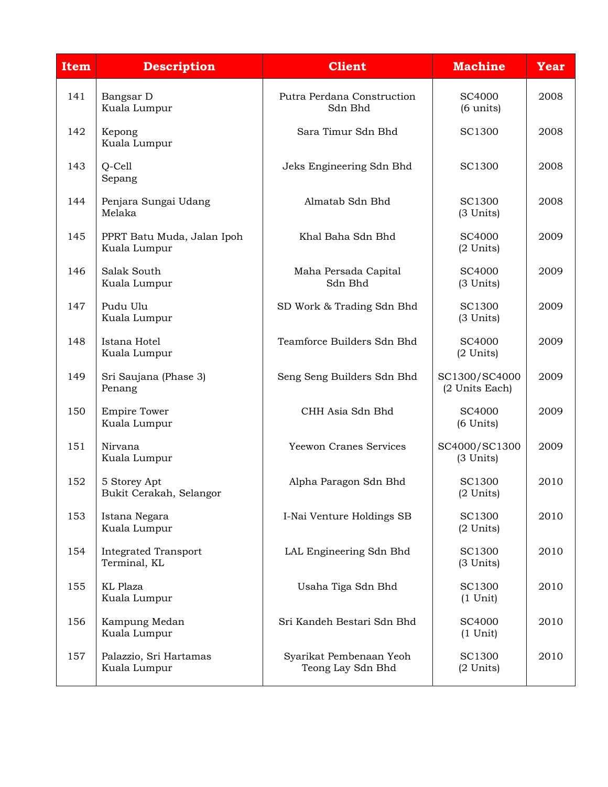| <b>Item</b> | <b>Description</b>                          | <b>Client</b>                                | <b>Machine</b>                  | <b>Year</b> |
|-------------|---------------------------------------------|----------------------------------------------|---------------------------------|-------------|
| 141         | Bangsar D<br>Kuala Lumpur                   | Putra Perdana Construction<br>Sdn Bhd        | SC4000<br>$(6 \text{ units})$   | 2008        |
| 142         | Kepong<br>Kuala Lumpur                      | Sara Timur Sdn Bhd                           | SC1300                          | 2008        |
| 143         | $Q$ -Cell<br>Sepang                         | Jeks Engineering Sdn Bhd                     | SC1300                          | 2008        |
| 144         | Penjara Sungai Udang<br>Melaka              | Almatab Sdn Bhd                              | <b>SC1300</b><br>(3 Units)      | 2008        |
| 145         | PPRT Batu Muda, Jalan Ipoh<br>Kuala Lumpur  | Khal Baha Sdn Bhd                            | SC4000<br>$(2$ Units)           | 2009        |
| 146         | Salak South<br>Kuala Lumpur                 | Maha Persada Capital<br>Sdn Bhd              | SC4000<br>(3 Units)             | 2009        |
| 147         | Pudu Ulu<br>Kuala Lumpur                    | SD Work & Trading Sdn Bhd                    | SC1300<br>(3 Units)             | 2009        |
| 148         | Istana Hotel<br>Kuala Lumpur                | Teamforce Builders Sdn Bhd                   | SC4000<br>$(2$ Units)           | 2009        |
| 149         | Sri Saujana (Phase 3)<br>Penang             | Seng Seng Builders Sdn Bhd                   | SC1300/SC4000<br>(2 Units Each) | 2009        |
| 150         | <b>Empire Tower</b><br>Kuala Lumpur         | CHH Asia Sdn Bhd                             | SC4000<br>$(6$ Units)           | 2009        |
| 151         | Nirvana<br>Kuala Lumpur                     | Yeewon Cranes Services                       | SC4000/SC1300<br>(3 Units)      | 2009        |
| 152         | 5 Storey Apt<br>Bukit Cerakah, Selangor     | Alpha Paragon Sdn Bhd                        | SC1300<br>$(2$ Units)           | 2010        |
| 153         | Istana Negara<br>Kuala Lumpur               | I-Nai Venture Holdings SB                    | <b>SC1300</b><br>$(2$ Units)    | 2010        |
| 154         | <b>Integrated Transport</b><br>Terminal, KL | LAL Engineering Sdn Bhd                      | SC1300<br>(3 Units)             | 2010        |
| 155         | KL Plaza<br>Kuala Lumpur                    | Usaha Tiga Sdn Bhd                           | SC1300<br>$(1$ Unit)            | 2010        |
| 156         | Kampung Medan<br>Kuala Lumpur               | Sri Kandeh Bestari Sdn Bhd                   | SC4000<br>$(1$ Unit)            | 2010        |
| 157         | Palazzio, Sri Hartamas<br>Kuala Lumpur      | Syarikat Pembenaan Yeoh<br>Teong Lay Sdn Bhd | SC1300<br>$(2$ Units)           | 2010        |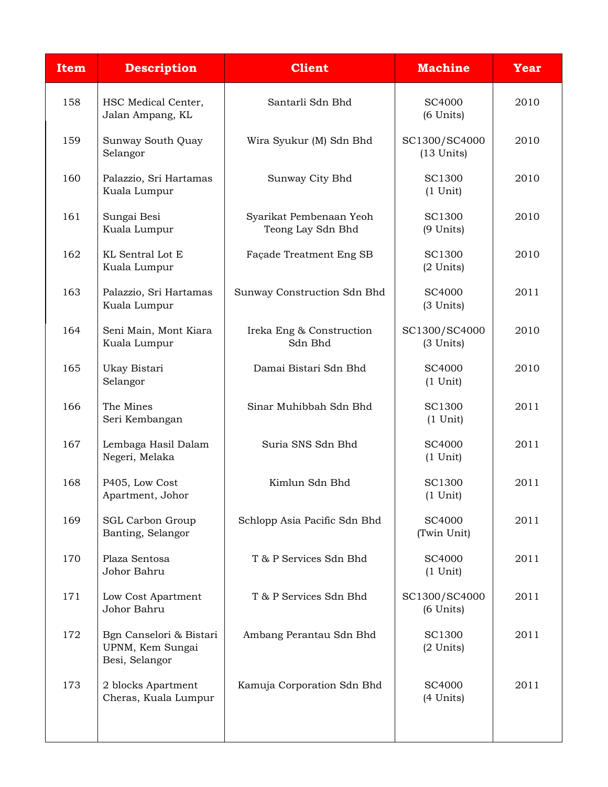| <b>Item</b> | <b>Description</b>                                            | <b>Client</b>                                | <b>Machine</b>                  | <b>Year</b> |
|-------------|---------------------------------------------------------------|----------------------------------------------|---------------------------------|-------------|
| 158         | HSC Medical Center,<br>Jalan Ampang, KL                       | Santarli Sdn Bhd                             | SC4000<br>$(6$ Units)           | 2010        |
| 159         | Sunway South Quay<br>Selangor                                 | Wira Syukur (M) Sdn Bhd                      | SC1300/SC4000<br>$(13$ Units)   | 2010        |
| 160         | Palazzio, Sri Hartamas<br>Kuala Lumpur                        | Sunway City Bhd                              | <b>SC1300</b><br>$(1$ Unit)     | 2010        |
| 161         | Sungai Besi<br>Kuala Lumpur                                   | Syarikat Pembenaan Yeoh<br>Teong Lay Sdn Bhd | SC1300<br>$(9$ Units)           | 2010        |
| 162         | KL Sentral Lot E<br>Kuala Lumpur                              | Façade Treatment Eng SB                      | SC1300<br>$(2$ Units)           | 2010        |
| 163         | Palazzio, Sri Hartamas<br>Kuala Lumpur                        | Sunway Construction Sdn Bhd                  | SC4000<br>(3 Units)             | 2011        |
| 164         | Seni Main, Mont Kiara<br>Kuala Lumpur                         | Ireka Eng & Construction<br>Sdn Bhd          | SC1300/SC4000<br>(3 Units)      | 2010        |
| 165         | Ukay Bistari<br>Selangor                                      | Damai Bistari Sdn Bhd                        | SC4000<br>$(1$ Unit)            | 2010        |
| 166         | The Mines<br>Seri Kembangan                                   | Sinar Muhibbah Sdn Bhd                       | SC1300<br>$(1$ Unit)            | 2011        |
| 167         | Lembaga Hasil Dalam<br>Negeri, Melaka                         | Suria SNS Sdn Bhd                            | SC4000<br>$(1$ Unit)            | 2011        |
| 168         | P405, Low Cost<br>Apartment, Johor                            | Kimlun Sdn Bhd                               | SC1300<br>$(1 \text{ Unit})$    | 2011        |
| 169         | <b>SGL Carbon Group</b><br>Banting, Selangor                  | Schlopp Asia Pacific Sdn Bhd                 | SC4000<br>(Twin Unit)           | 2011        |
| 170         | Plaza Sentosa<br>Johor Bahru                                  | T & P Services Sdn Bhd                       | SC4000<br>$(1$ Unit)            | 2011        |
| 171         | Low Cost Apartment<br>Johor Bahru                             | T & P Services Sdn Bhd                       | SC1300/SC4000<br>$(6$ Units $)$ | 2011        |
| 172         | Bgn Canselori & Bistari<br>UPNM, Kem Sungai<br>Besi, Selangor | Ambang Perantau Sdn Bhd                      | SC1300<br>$(2$ Units)           | 2011        |
| 173         | 2 blocks Apartment<br>Cheras, Kuala Lumpur                    | Kamuja Corporation Sdn Bhd                   | SC4000<br>(4 Units)             | 2011        |
|             |                                                               |                                              |                                 |             |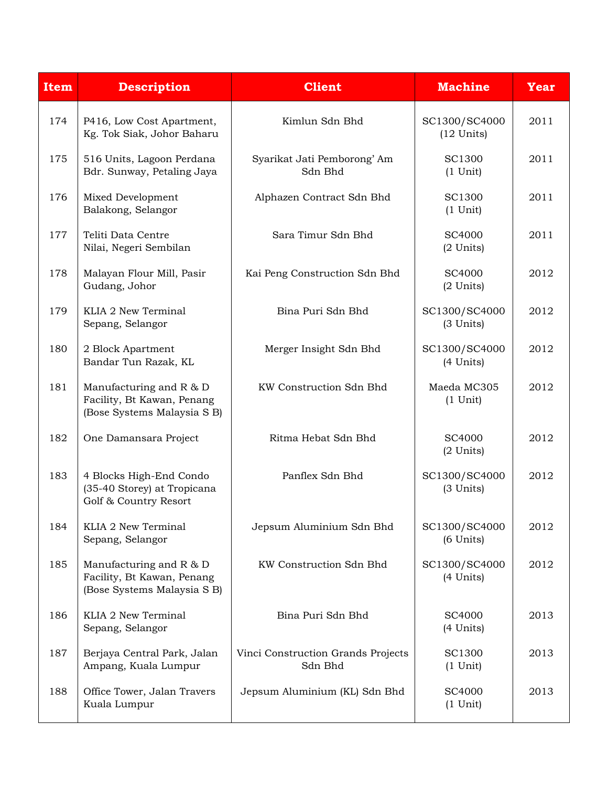| <b>Item</b> | <b>Description</b>                                                                       | <b>Client</b>                                 | <b>Machine</b>                  | <b>Year</b> |
|-------------|------------------------------------------------------------------------------------------|-----------------------------------------------|---------------------------------|-------------|
| 174         | P416, Low Cost Apartment,<br>Kg. Tok Siak, Johor Baharu                                  | Kimlun Sdn Bhd                                | SC1300/SC4000<br>$(12$ Units)   | 2011        |
| 175         | 516 Units, Lagoon Perdana<br>Bdr. Sunway, Petaling Jaya                                  | Syarikat Jati Pemborong' Am<br>Sdn Bhd        | <b>SC1300</b><br>$(1$ Unit)     | 2011        |
| 176         | Mixed Development<br>Balakong, Selangor                                                  | Alphazen Contract Sdn Bhd                     | SC1300<br>$(1$ Unit)            | 2011        |
| 177         | Teliti Data Centre<br>Nilai, Negeri Sembilan                                             | Sara Timur Sdn Bhd                            | SC4000<br>$(2$ Units)           | 2011        |
| 178         | Malayan Flour Mill, Pasir<br>Gudang, Johor                                               | Kai Peng Construction Sdn Bhd                 | SC4000<br>(2 Units)             | 2012        |
| 179         | KLIA 2 New Terminal<br>Sepang, Selangor                                                  | Bina Puri Sdn Bhd                             | SC1300/SC4000<br>(3 Units)      | 2012        |
| 180         | 2 Block Apartment<br>Bandar Tun Razak, KL                                                | Merger Insight Sdn Bhd                        | SC1300/SC4000<br>(4 Units)      | 2012        |
| 181         | Manufacturing and $R$ & D<br>Facility, Bt Kawan, Penang<br>(Bose Systems Malaysia S B)   | KW Construction Sdn Bhd                       | Maeda MC305<br>$(1$ Unit)       | 2012        |
| 182         | One Damansara Project                                                                    | Ritma Hebat Sdn Bhd                           | SC4000<br>$(2$ Units)           | 2012        |
| 183         | 4 Blocks High-End Condo<br>(35-40 Storey) at Tropicana<br>Golf & Country Resort          | Panflex Sdn Bhd                               | SC1300/SC4000<br>(3 Units)      | 2012        |
| 184         | KLIA 2 New Terminal<br>Sepang, Selangor                                                  | Jepsum Aluminium Sdn Bhd                      | SC1300/SC4000<br>$(6$ Units $)$ | 2012        |
| 185         | Manufacturing and $R$ & $D$<br>Facility, Bt Kawan, Penang<br>(Bose Systems Malaysia S B) | KW Construction Sdn Bhd                       | SC1300/SC4000<br>(4 Units)      | 2012        |
| 186         | KLIA 2 New Terminal<br>Sepang, Selangor                                                  | Bina Puri Sdn Bhd                             | SC4000<br>(4 Units)             | 2013        |
| 187         | Berjaya Central Park, Jalan<br>Ampang, Kuala Lumpur                                      | Vinci Construction Grands Projects<br>Sdn Bhd | SC1300<br>$(1$ Unit)            | 2013        |
| 188         | Office Tower, Jalan Travers<br>Kuala Lumpur                                              | Jepsum Aluminium (KL) Sdn Bhd                 | SC4000<br>$(1$ Unit)            | 2013        |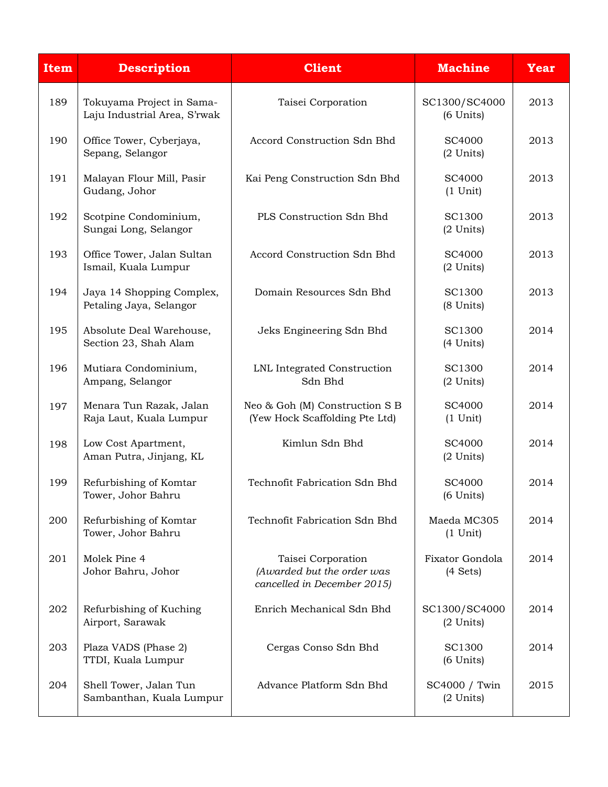| <b>Item</b> | <b>Description</b>                                        | <b>Client</b>                                                                   | <b>Machine</b>                  | <b>Year</b> |
|-------------|-----------------------------------------------------------|---------------------------------------------------------------------------------|---------------------------------|-------------|
| 189         | Tokuyama Project in Sama-<br>Laju Industrial Area, S'rwak | Taisei Corporation                                                              | SC1300/SC4000<br>$(6$ Units $)$ | 2013        |
| 190         | Office Tower, Cyberjaya,<br>Sepang, Selangor              | Accord Construction Sdn Bhd                                                     | SC4000<br>$(2$ Units)           | 2013        |
| 191         | Malayan Flour Mill, Pasir<br>Gudang, Johor                | Kai Peng Construction Sdn Bhd                                                   | SC4000<br>$(1$ Unit)            | 2013        |
| 192         | Scotpine Condominium,<br>Sungai Long, Selangor            | PLS Construction Sdn Bhd                                                        | SC1300<br>$(2$ Units)           | 2013        |
| 193         | Office Tower, Jalan Sultan<br>Ismail, Kuala Lumpur        | Accord Construction Sdn Bhd                                                     | SC4000<br>$(2$ Units)           | 2013        |
| 194         | Jaya 14 Shopping Complex,<br>Petaling Jaya, Selangor      | Domain Resources Sdn Bhd                                                        | SC1300<br>(8 Units)             | 2013        |
| 195         | Absolute Deal Warehouse,<br>Section 23, Shah Alam         | Jeks Engineering Sdn Bhd                                                        | SC1300<br>(4 Units)             | 2014        |
| 196         | Mutiara Condominium,<br>Ampang, Selangor                  | LNL Integrated Construction<br>Sdn Bhd                                          | SC1300<br>$(2$ Units)           | 2014        |
| 197         | Menara Tun Razak, Jalan<br>Raja Laut, Kuala Lumpur        | Neo & Goh (M) Construction S B<br>(Yew Hock Scaffolding Pte Ltd)                | SC4000<br>$(1$ Unit)            | 2014        |
| 198         | Low Cost Apartment,<br>Aman Putra, Jinjang, KL            | Kimlun Sdn Bhd                                                                  | SC4000<br>(2 Units)             | 2014        |
| 199         | Refurbishing of Komtar<br>Tower, Johor Bahru              | Technofit Fabrication Sdn Bhd                                                   | SC4000<br>$(6$ Units)           | 2014        |
| 200         | Refurbishing of Komtar<br>Tower, Johor Bahru              | Technofit Fabrication Sdn Bhd                                                   | Maeda MC305<br>$(1$ Unit)       | 2014        |
| 201         | Molek Pine 4<br>Johor Bahru, Johor                        | Taisei Corporation<br>(Awarded but the order was<br>cancelled in December 2015) | Fixator Gondola<br>(4 Sets)     | 2014        |
| 202         | Refurbishing of Kuching<br>Airport, Sarawak               | Enrich Mechanical Sdn Bhd                                                       | SC1300/SC4000<br>$(2$ Units)    | 2014        |
| 203         | Plaza VADS (Phase 2)<br>TTDI, Kuala Lumpur                | Cergas Conso Sdn Bhd                                                            | SC1300<br>$(6$ Units)           | 2014        |
| 204         | Shell Tower, Jalan Tun<br>Sambanthan, Kuala Lumpur        | Advance Platform Sdn Bhd                                                        | SC4000 / Twin<br>$(2$ Units)    | 2015        |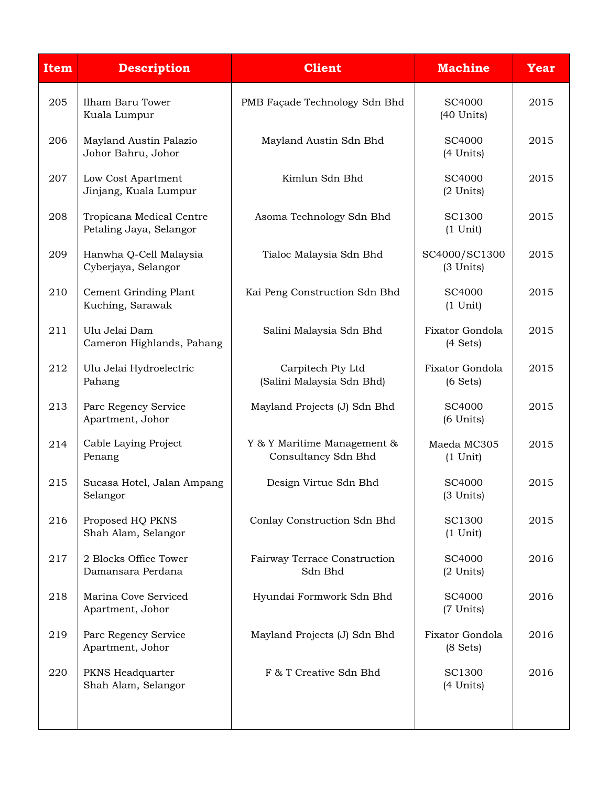| <b>Item</b> | <b>Description</b>                                  | <b>Client</b>                                      | <b>Machine</b>                        | <b>Year</b> |
|-------------|-----------------------------------------------------|----------------------------------------------------|---------------------------------------|-------------|
| 205         | Ilham Baru Tower<br>Kuala Lumpur                    | PMB Façade Technology Sdn Bhd                      | <b>SC4000</b><br>$(40$ Units)         | 2015        |
| 206         | Mayland Austin Palazio<br>Johor Bahru, Johor        | Mayland Austin Sdn Bhd                             | SC4000<br>(4 Units)                   | 2015        |
| 207         | Low Cost Apartment<br>Jinjang, Kuala Lumpur         | Kimlun Sdn Bhd                                     | SC4000<br>$(2$ Units)                 | 2015        |
| 208         | Tropicana Medical Centre<br>Petaling Jaya, Selangor | Asoma Technology Sdn Bhd                           | SC1300<br>$(1$ Unit)                  | 2015        |
| 209         | Hanwha Q-Cell Malaysia<br>Cyberjaya, Selangor       | Tialoc Malaysia Sdn Bhd                            | SC4000/SC1300<br>(3 Units)            | 2015        |
| 210         | Cement Grinding Plant<br>Kuching, Sarawak           | Kai Peng Construction Sdn Bhd                      | SC4000<br>$(1$ Unit)                  | 2015        |
| 211         | Ulu Jelai Dam<br>Cameron Highlands, Pahang          | Salini Malaysia Sdn Bhd                            | Fixator Gondola<br>(4 Sets)           | 2015        |
| 212         | Ulu Jelai Hydroelectric<br>Pahang                   | Carpitech Pty Ltd<br>(Salini Malaysia Sdn Bhd)     | Fixator Gondola<br>(6 Sets)           | 2015        |
| 213         | Parc Regency Service<br>Apartment, Johor            | Mayland Projects (J) Sdn Bhd                       | SC4000<br>(6 Units)                   | 2015        |
| 214         | Cable Laying Project<br>Penang                      | Y & Y Maritime Management &<br>Consultancy Sdn Bhd | Maeda MC305<br>$(1$ Unit)             | 2015        |
| 215         | Sucasa Hotel, Jalan Ampang<br>Selangor              | Design Virtue Sdn Bhd                              | SC4000<br>(3 Units)                   | 2015        |
| 216         | Proposed HQ PKNS<br>Shah Alam, Selangor             | Conlay Construction Sdn Bhd                        | <b>SC1300</b><br>$(1$ Unit)           | 2015        |
| 217         | 2 Blocks Office Tower<br>Damansara Perdana          | Fairway Terrace Construction<br>Sdn Bhd            | SC4000<br>(2 Units)                   | 2016        |
| 218         | Marina Cove Serviced<br>Apartment, Johor            | Hyundai Formwork Sdn Bhd                           | SC4000<br>(7 Units)                   | 2016        |
| 219         | Parc Regency Service<br>Apartment, Johor            | Mayland Projects (J) Sdn Bhd                       | Fixator Gondola<br>$(8 \text{ Sets})$ | 2016        |
| 220         | PKNS Headquarter<br>Shah Alam, Selangor             | F & T Creative Sdn Bhd                             | SC1300<br>(4 Units)                   | 2016        |
|             |                                                     |                                                    |                                       |             |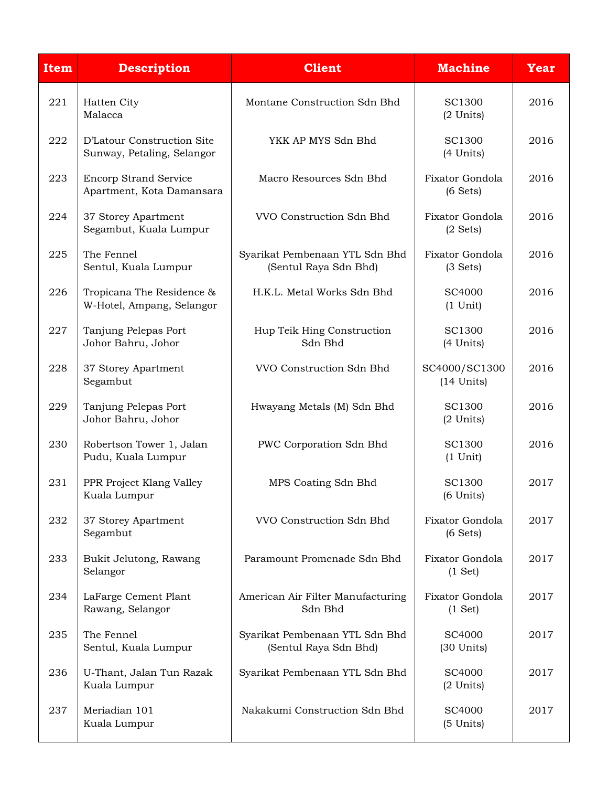| <b>Item</b> | <b>Description</b>                                        | <b>Client</b>                                           | <b>Machine</b>                        | <b>Year</b> |
|-------------|-----------------------------------------------------------|---------------------------------------------------------|---------------------------------------|-------------|
| 221         | Hatten City<br>Malacca                                    | Montane Construction Sdn Bhd                            | SC1300<br>(2 Units)                   | 2016        |
| 222         | D'Latour Construction Site<br>Sunway, Petaling, Selangor  | YKK AP MYS Sdn Bhd                                      | SC1300<br>(4 Units)                   | 2016        |
| 223         | <b>Encorp Strand Service</b><br>Apartment, Kota Damansara | Macro Resources Sdn Bhd                                 | Fixator Gondola<br>(6 Sets)           | 2016        |
| 224         | 37 Storey Apartment<br>Segambut, Kuala Lumpur             | VVO Construction Sdn Bhd                                | Fixator Gondola<br>$(2 \text{ Sets})$ | 2016        |
| 225         | The Fennel<br>Sentul, Kuala Lumpur                        | Syarikat Pembenaan YTL Sdn Bhd<br>(Sentul Raya Sdn Bhd) | Fixator Gondola<br>(3 Sets)           | 2016        |
| 226         | Tropicana The Residence &<br>W-Hotel, Ampang, Selangor    | H.K.L. Metal Works Sdn Bhd                              | SC4000<br>$(1$ Unit)                  | 2016        |
| 227         | Tanjung Pelepas Port<br>Johor Bahru, Johor                | Hup Teik Hing Construction<br>Sdn Bhd                   | SC1300<br>(4 Units)                   | 2016        |
| 228         | 37 Storey Apartment<br>Segambut                           | VVO Construction Sdn Bhd                                | SC4000/SC1300<br>$(14$ Units)         | 2016        |
| 229         | Tanjung Pelepas Port<br>Johor Bahru, Johor                | Hwayang Metals (M) Sdn Bhd                              | SC1300<br>$(2$ Units)                 | 2016        |
| 230         | Robertson Tower 1, Jalan<br>Pudu, Kuala Lumpur            | PWC Corporation Sdn Bhd                                 | <b>SC1300</b><br>$(1$ Unit)           | 2016        |
| 231         | PPR Project Klang Valley<br>Kuala Lumpur                  | MPS Coating Sdn Bhd                                     | <b>SC1300</b><br>$(6$ Units)          | 2017        |
| 232         | 37 Storey Apartment<br>Segambut                           | VVO Construction Sdn Bhd                                | Fixator Gondola<br>(6 Sets)           | 2017        |
| 233         | Bukit Jelutong, Rawang<br>Selangor                        | Paramount Promenade Sdn Bhd                             | Fixator Gondola<br>(1 Set)            | 2017        |
| 234         | LaFarge Cement Plant<br>Rawang, Selangor                  | American Air Filter Manufacturing<br>Sdn Bhd            | Fixator Gondola<br>(1 Set)            | 2017        |
| 235         | The Fennel<br>Sentul, Kuala Lumpur                        | Syarikat Pembenaan YTL Sdn Bhd<br>(Sentul Raya Sdn Bhd) | SC4000<br>$(30$ Units $)$             | 2017        |
| 236         | U-Thant, Jalan Tun Razak<br>Kuala Lumpur                  | Syarikat Pembenaan YTL Sdn Bhd                          | SC4000<br>(2 Units)                   | 2017        |
| 237         | Meriadian 101<br>Kuala Lumpur                             | Nakakumi Construction Sdn Bhd                           | SC4000<br>(5 Units)                   | 2017        |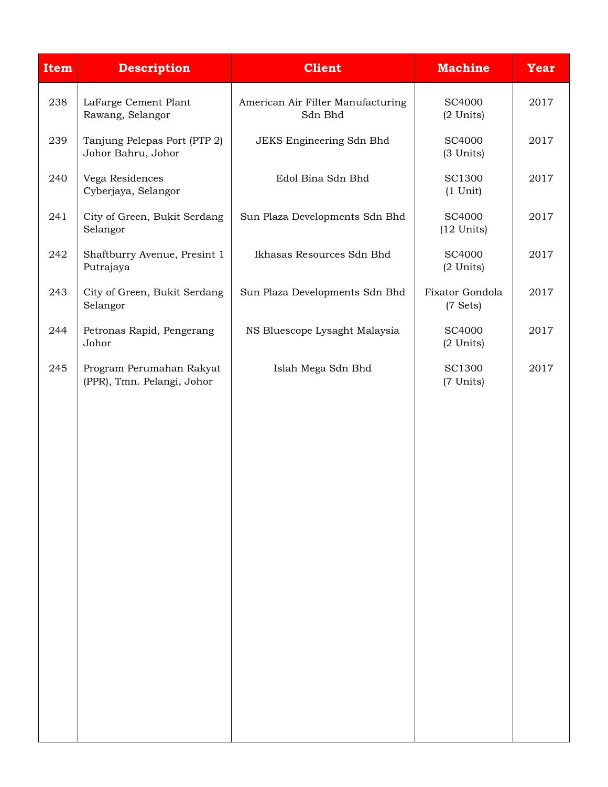| <b>Item</b> | <b>Description</b>                                     | <b>Client</b>                                | <b>Machine</b>                        | <b>Year</b> |
|-------------|--------------------------------------------------------|----------------------------------------------|---------------------------------------|-------------|
| 238         | LaFarge Cement Plant<br>Rawang, Selangor               | American Air Filter Manufacturing<br>Sdn Bhd | <b>SC4000</b><br>$(2$ Units)          | 2017        |
| 239         | Tanjung Pelepas Port (PTP 2)<br>Johor Bahru, Johor     | JEKS Engineering Sdn Bhd                     | <b>SC4000</b><br>(3 Units)            | 2017        |
| 240         | Vega Residences<br>Cyberjaya, Selangor                 | Edol Bina Sdn Bhd                            | <b>SC1300</b><br>$(1$ Unit)           | 2017        |
| 241         | City of Green, Bukit Serdang<br>Selangor               | Sun Plaza Developments Sdn Bhd               | <b>SC4000</b><br>$(12$ Units)         | 2017        |
| 242         | Shaftburry Avenue, Presint 1<br>Putrajaya              | Ikhasas Resources Sdn Bhd                    | <b>SC4000</b><br>$(2$ Units)          | 2017        |
| 243         | City of Green, Bukit Serdang<br>Selangor               | Sun Plaza Developments Sdn Bhd               | Fixator Gondola<br>$(7 \text{ Sets})$ | 2017        |
| 244         | Petronas Rapid, Pengerang<br>Johor                     | NS Bluescope Lysaght Malaysia                | SC4000<br>(2 Units)                   | 2017        |
| 245         | Program Perumahan Rakyat<br>(PPR), Tmn. Pelangi, Johor | Islah Mega Sdn Bhd                           | <b>SC1300</b><br>(7 Units)            | 2017        |
|             |                                                        |                                              |                                       |             |
|             |                                                        |                                              |                                       |             |
|             |                                                        |                                              |                                       |             |
|             |                                                        |                                              |                                       |             |
|             |                                                        |                                              |                                       |             |
|             |                                                        |                                              |                                       |             |
|             |                                                        |                                              |                                       |             |
|             |                                                        |                                              |                                       |             |
|             |                                                        |                                              |                                       |             |
|             |                                                        |                                              |                                       |             |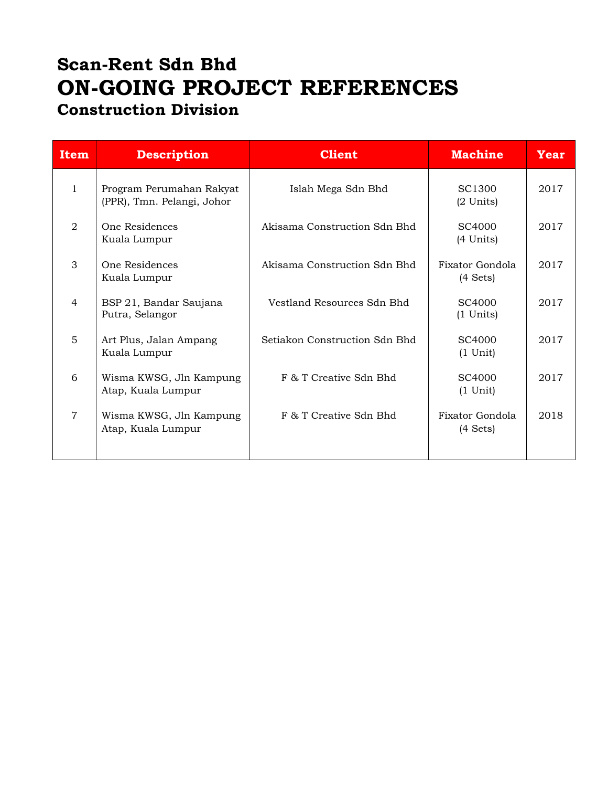### **Scan-Rent Sdn Bhd ON-GOING PROJECT REFERENCES Construction Division**

| <b>Item</b>  | <b>Description</b>                                     | <b>Client</b>                 | <b>Machine</b>                            | Year |
|--------------|--------------------------------------------------------|-------------------------------|-------------------------------------------|------|
| $\mathbf{1}$ | Program Perumahan Rakyat<br>(PPR), Tmn. Pelangi, Johor | Islah Mega Sdn Bhd            | SC <sub>1300</sub><br>$(2 \text{ Units})$ | 2017 |
| 2            | One Residences<br>Kuala Lumpur                         | Akisama Construction Sdn Bhd  | SC <sub>4000</sub><br>(4 Units)           | 2017 |
| 3            | One Residences<br>Kuala Lumpur                         | Akisama Construction Sdn Bhd  | Fixator Gondola<br>$(4 \text{ Sets})$     | 2017 |
| 4            | BSP 21, Bandar Saujana<br>Putra, Selangor              | Vestland Resources Sdn Bhd    | SC <sub>4000</sub><br>$(1$ Units)         | 2017 |
| 5            | Art Plus, Jalan Ampang<br>Kuala Lumpur                 | Setiakon Construction Sdn Bhd | SC <sub>4000</sub><br>$(1 \text{ Unit})$  | 2017 |
| 6            | Wisma KWSG, Jln Kampung<br>Atap, Kuala Lumpur          | F & T Creative Sdn Bhd        | SC <sub>4000</sub><br>$(1 \text{ Unit})$  | 2017 |
| 7            | Wisma KWSG, Jln Kampung<br>Atap, Kuala Lumpur          | F & T Creative Sdn Bhd        | Fixator Gondola<br>$(4 \text{ Sets})$     | 2018 |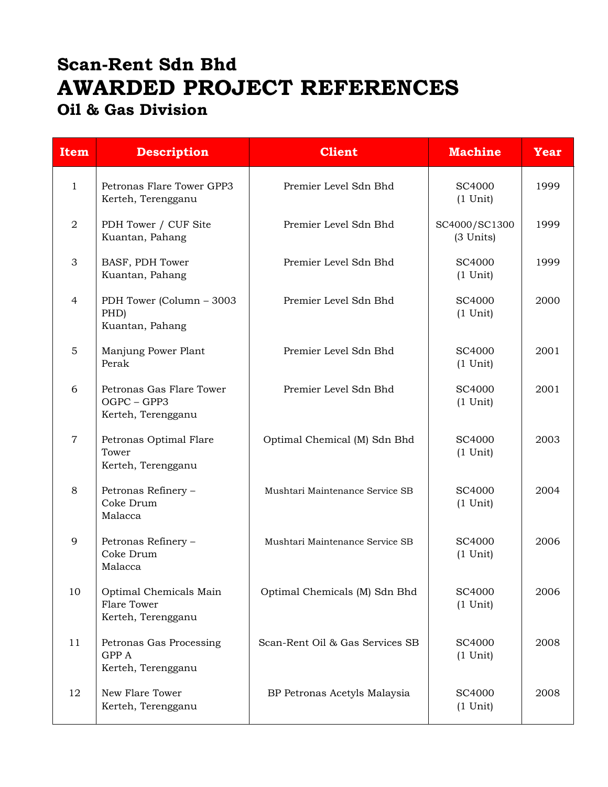# **Scan-Rent Sdn Bhd AWARDED PROJECT REFERENCES Oil & Gas Division**

| <b>Item</b>    | <b>Description</b>                                            | <b>Client</b>                   | <b>Machine</b>               | Year |
|----------------|---------------------------------------------------------------|---------------------------------|------------------------------|------|
| $\mathbf{1}$   | Petronas Flare Tower GPP3<br>Kerteh, Terengganu               | Premier Level Sdn Bhd           | SC4000<br>$(1$ Unit)         | 1999 |
| $\overline{2}$ | PDH Tower / CUF Site<br>Kuantan, Pahang                       | Premier Level Sdn Bhd           | SC4000/SC1300<br>(3 Units)   | 1999 |
| 3              | BASF, PDH Tower<br>Kuantan, Pahang                            | Premier Level Sdn Bhd           | SC4000<br>$(1$ Unit)         | 1999 |
| 4              | PDH Tower (Column - 3003<br>PHD)<br>Kuantan, Pahang           | Premier Level Sdn Bhd           | SC4000<br>$(1$ Unit)         | 2000 |
| 5              | Manjung Power Plant<br>Perak                                  | Premier Level Sdn Bhd           | SC4000<br>$(1$ Unit)         | 2001 |
| 6              | Petronas Gas Flare Tower<br>OGPC - GPP3<br>Kerteh, Terengganu | Premier Level Sdn Bhd           | SC4000<br>$(1$ Unit)         | 2001 |
| $\overline{7}$ | Petronas Optimal Flare<br>Tower<br>Kerteh, Terengganu         | Optimal Chemical (M) Sdn Bhd    | SC4000<br>$(1$ Unit)         | 2003 |
| 8              | Petronas Refinery -<br>Coke Drum<br>Malacca                   | Mushtari Maintenance Service SB | SC4000<br>$(1 \text{ Unit})$ | 2004 |
| 9              | Petronas Refinery -<br>Coke Drum<br>Malacca                   | Mushtari Maintenance Service SB | SC4000<br>$(1$ Unit)         | 2006 |
| 10             | Optimal Chemicals Main<br>Flare Tower<br>Kerteh, Terengganu   | Optimal Chemicals (M) Sdn Bhd   | SC4000<br>$(1$ Unit)         | 2006 |
| 11             | Petronas Gas Processing<br>GPP A<br>Kerteh, Terengganu        | Scan-Rent Oil & Gas Services SB | SC4000<br>$(1$ Unit)         | 2008 |
| 12             | New Flare Tower<br>Kerteh, Terengganu                         | BP Petronas Acetyls Malaysia    | SC4000<br>$(1$ Unit)         | 2008 |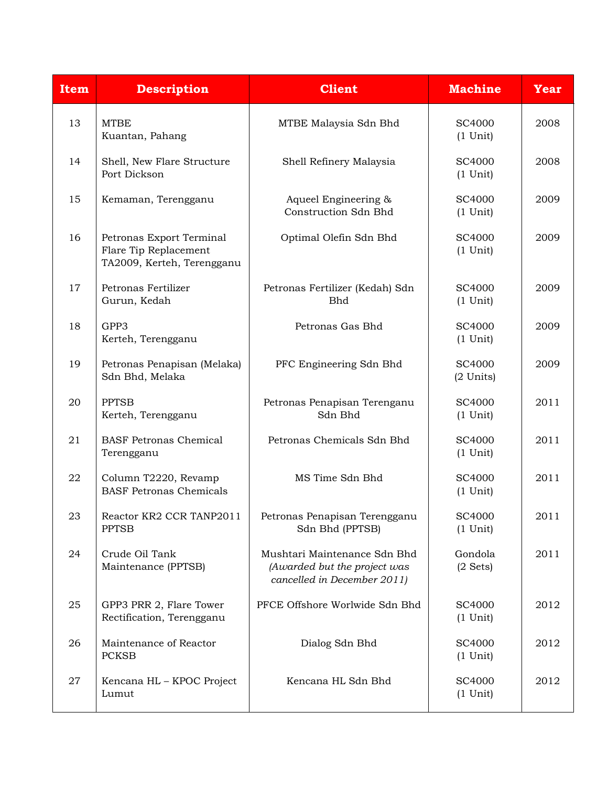| <b>Item</b> | <b>Description</b>                                                              | <b>Client</b>                                                                               | <b>Machine</b>                | <b>Year</b> |
|-------------|---------------------------------------------------------------------------------|---------------------------------------------------------------------------------------------|-------------------------------|-------------|
| 13          | <b>MTBE</b><br>Kuantan, Pahang                                                  | MTBE Malaysia Sdn Bhd                                                                       | SC4000<br>$(1$ Unit)          | 2008        |
| 14          | Shell, New Flare Structure<br>Port Dickson                                      | Shell Refinery Malaysia                                                                     | SC4000<br>$(1$ Unit)          | 2008        |
| 15          | Kemaman, Terengganu                                                             | Aqueel Engineering &<br>Construction Sdn Bhd                                                | SC4000<br>$(1$ Unit)          | 2009        |
| 16          | Petronas Export Terminal<br>Flare Tip Replacement<br>TA2009, Kerteh, Terengganu | Optimal Olefin Sdn Bhd                                                                      | SC4000<br>$(1$ Unit)          | 2009        |
| 17          | Petronas Fertilizer<br>Gurun, Kedah                                             | Petronas Fertilizer (Kedah) Sdn<br><b>Bhd</b>                                               | SC4000<br>$(1$ Unit)          | 2009        |
| 18          | GPP3<br>Kerteh, Terengganu                                                      | Petronas Gas Bhd                                                                            | SC4000<br>$(1$ Unit)          | 2009        |
| 19          | Petronas Penapisan (Melaka)<br>Sdn Bhd, Melaka                                  | PFC Engineering Sdn Bhd                                                                     | SC4000<br>$(2$ Units)         | 2009        |
| 20          | <b>PPTSB</b><br>Kerteh, Terengganu                                              | Petronas Penapisan Terenganu<br>Sdn Bhd                                                     | SC4000<br>$(1$ Unit)          | 2011        |
| 21          | <b>BASF Petronas Chemical</b><br>Terengganu                                     | Petronas Chemicals Sdn Bhd                                                                  | SC4000<br>$(1$ Unit)          | 2011        |
| 22          | Column T2220, Revamp<br><b>BASF Petronas Chemicals</b>                          | MS Time Sdn Bhd                                                                             | SC4000<br>$(1$ Unit)          | 2011        |
| 23          | Reactor KR2 CCR TANP2011<br><b>PPTSB</b>                                        | Petronas Penapisan Terengganu<br>Sdn Bhd (PPTSB)                                            | SC4000<br>$(1$ Unit)          | 2011        |
| 24          | Crude Oil Tank<br>Maintenance (PPTSB)                                           | Mushtari Maintenance Sdn Bhd<br>(Awarded but the project was<br>cancelled in December 2011) | Gondola<br>$(2 \text{ Sets})$ | 2011        |
| 25          | GPP3 PRR 2, Flare Tower<br>Rectification, Terengganu                            | PFCE Offshore Worlwide Sdn Bhd                                                              | <b>SC4000</b><br>$(1$ Unit)   | 2012        |
| 26          | Maintenance of Reactor<br><b>PCKSB</b>                                          | Dialog Sdn Bhd                                                                              | SC4000<br>$(1$ Unit)          | 2012        |
| 27          | Kencana HL - KPOC Project<br>Lumut                                              | Kencana HL Sdn Bhd                                                                          | SC4000<br>$(1$ Unit)          | 2012        |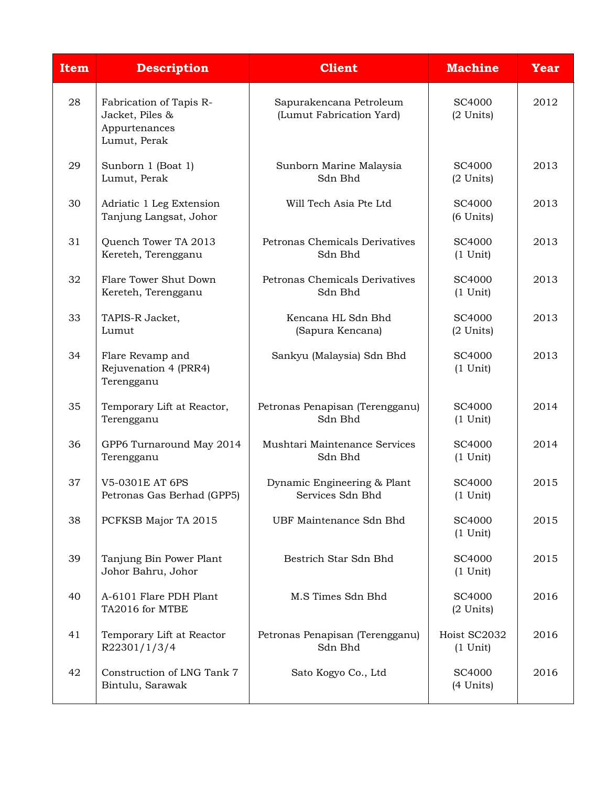| <b>Item</b> | <b>Description</b>                                                          | <b>Client</b>                                       | <b>Machine</b>               | <b>Year</b> |
|-------------|-----------------------------------------------------------------------------|-----------------------------------------------------|------------------------------|-------------|
| 28          | Fabrication of Tapis R-<br>Jacket, Piles &<br>Appurtenances<br>Lumut, Perak | Sapurakencana Petroleum<br>(Lumut Fabrication Yard) | SC4000<br>$(2$ Units)        | 2012        |
| 29          | Sunborn 1 (Boat 1)<br>Lumut, Perak                                          | Sunborn Marine Malaysia<br>Sdn Bhd                  | SC4000<br>$(2$ Units)        | 2013        |
| 30          | Adriatic 1 Leg Extension<br>Tanjung Langsat, Johor                          | Will Tech Asia Pte Ltd                              | SC4000<br>$(6$ Units $)$     | 2013        |
| 31          | Quench Tower TA 2013<br>Kereteh, Terengganu                                 | Petronas Chemicals Derivatives<br>Sdn Bhd           | SC4000<br>$(1$ Unit)         | 2013        |
| 32          | Flare Tower Shut Down<br>Kereteh, Terengganu                                | Petronas Chemicals Derivatives<br>Sdn Bhd           | SC4000<br>$(1$ Unit)         | 2013        |
| 33          | TAPIS-R Jacket,<br>Lumut                                                    | Kencana HL Sdn Bhd<br>(Sapura Kencana)              | SC4000<br>$(2$ Units)        | 2013        |
| 34          | Flare Revamp and<br>Rejuvenation 4 (PRR4)<br>Terengganu                     | Sankyu (Malaysia) Sdn Bhd                           | SC4000<br>$(1$ Unit)         | 2013        |
| 35          | Temporary Lift at Reactor,<br>Terengganu                                    | Petronas Penapisan (Terengganu)<br>Sdn Bhd          | SC4000<br>$(1 \text{ Unit})$ | 2014        |
| 36          | GPP6 Turnaround May 2014<br>Terengganu                                      | Mushtari Maintenance Services<br>Sdn Bhd            | SC4000<br>$(1$ Unit)         | 2014        |
| 37          | V5-0301E AT 6PS<br>Petronas Gas Berhad (GPP5)                               | Dynamic Engineering & Plant<br>Services Sdn Bhd     | SC4000<br>$(1$ Unit)         | 2015        |
| 38          | PCFKSB Major TA 2015                                                        | UBF Maintenance Sdn Bhd                             | SC4000<br>$(1$ Unit)         | 2015        |
| 39          | Tanjung Bin Power Plant<br>Johor Bahru, Johor                               | Bestrich Star Sdn Bhd                               | SC4000<br>$(1$ Unit)         | 2015        |
| 40          | A-6101 Flare PDH Plant<br>TA2016 for MTBE                                   | M.S Times Sdn Bhd                                   | SC4000<br>$(2$ Units)        | 2016        |
| 41          | Temporary Lift at Reactor<br>R22301/1/3/4                                   | Petronas Penapisan (Terengganu)<br>Sdn Bhd          | Hoist SC2032<br>$(1$ Unit)   | 2016        |
| 42          | Construction of LNG Tank 7<br>Bintulu, Sarawak                              | Sato Kogyo Co., Ltd                                 | SC4000<br>(4 Units)          | 2016        |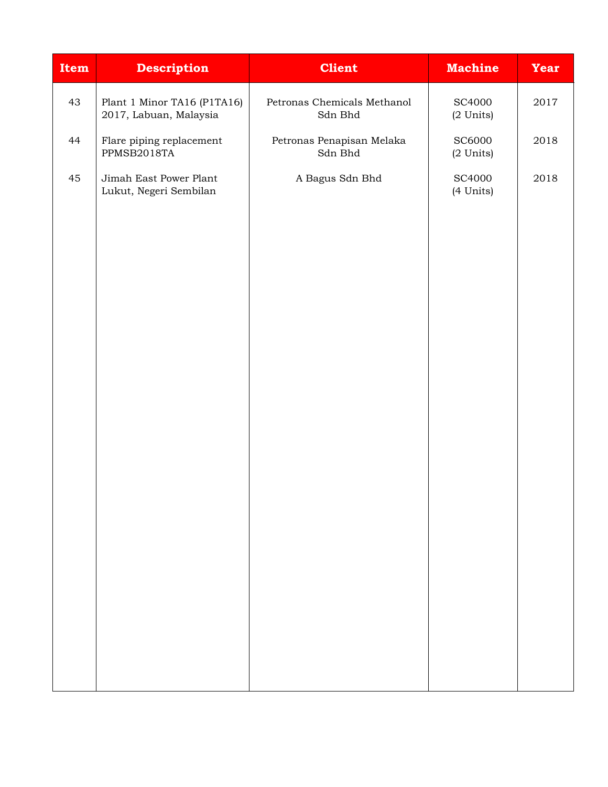| <b>Item</b> | <b>Description</b>                                    | <b>Client</b>                                | <b>Machine</b>             | <b>Year</b> |
|-------------|-------------------------------------------------------|----------------------------------------------|----------------------------|-------------|
| 43          | Plant 1 Minor TA16 (P1TA16)<br>2017, Labuan, Malaysia | Petronas Chemicals Methanol<br>Sdn Bhd       | <b>SC4000</b><br>(2 Units) | 2017        |
| 44          | Flare piping replacement<br>PPMSB2018TA               | Petronas Penapisan Melaka<br>${\rm Sdn}$ Bhd | <b>SC6000</b><br>(2 Units) | 2018        |
| 45          | Jimah East Power Plant<br>Lukut, Negeri Sembilan      | A Bagus Sdn Bhd                              | SC4000<br>(4 Units)        | 2018        |
|             |                                                       |                                              |                            |             |
|             |                                                       |                                              |                            |             |